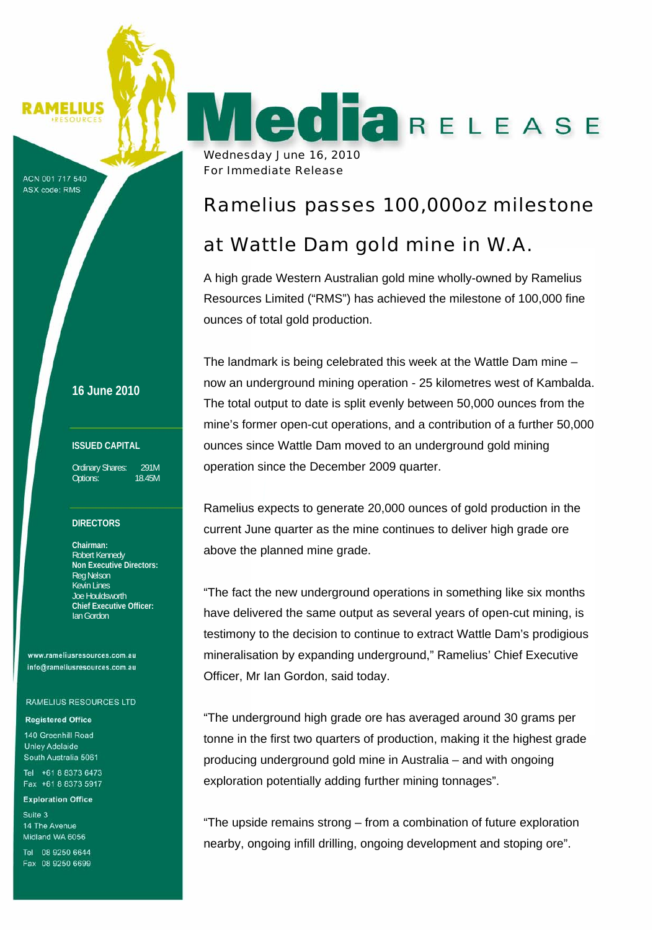MELIUS

ACN 001 717 540 **ASX code: RMS** 

**16 June 2010**

#### **ISSUED CAPITAL**

Ordinary Shares: 291M Options: 18.45M

#### **DIRECTORS**

**Chairman:**  Robert Kennedy **Non Executive Directors:**  Reg Nelson Kevin Lines Joe Houldsworth **Chief Executive Officer:**  Ian Gordon

www.rameliusresources.com.au info@rameliusresources.com.au

#### **RAMELIUS RESOURCES LTD**

#### **Registered Office**

140 Greenhill Road **Unley Adelaide** South Australia 5061 Tel +61 8 8373 6473 Fax +61 8 8373 5917

**Exploration Office** 

Suite 3 14 The Avenue Midland WA 6056

Tel 08 9250 6644 Fax 08 9250 6699

Wednesday June 16, 2010 For Immediate Release

## Ramelius passes 100,000oz milestone

RELEASE

# at Wattle Dam gold mine in W.A.

A high grade Western Australian gold mine wholly-owned by Ramelius Resources Limited ("RMS") has achieved the milestone of 100,000 fine ounces of total gold production.

The landmark is being celebrated this week at the Wattle Dam mine – now an underground mining operation - 25 kilometres west of Kambalda. The total output to date is split evenly between 50,000 ounces from the mine's former open-cut operations, and a contribution of a further 50,000 ounces since Wattle Dam moved to an underground gold mining operation since the December 2009 quarter.

Ramelius expects to generate 20,000 ounces of gold production in the current June quarter as the mine continues to deliver high grade ore above the planned mine grade.

"The fact the new underground operations in something like six months have delivered the same output as several years of open-cut mining, is testimony to the decision to continue to extract Wattle Dam's prodigious mineralisation by expanding underground," Ramelius' Chief Executive Officer, Mr Ian Gordon, said today.

"The underground high grade ore has averaged around 30 grams per tonne in the first two quarters of production, making it the highest grade producing underground gold mine in Australia – and with ongoing exploration potentially adding further mining tonnages".

"The upside remains strong – from a combination of future exploration nearby, ongoing infill drilling, ongoing development and stoping ore".